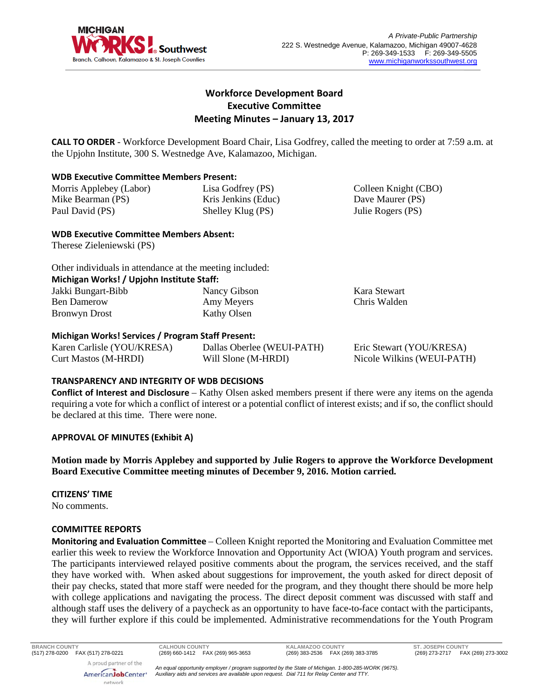

Colleen Knight (CBO) Dave Maurer (PS) Julie Rogers (PS)

# **Workforce Development Board Executive Committee Meeting Minutes – January 13, 2017**

**CALL TO ORDER** - Workforce Development Board Chair, Lisa Godfrey, called the meeting to order at 7:59 a.m. at the Upjohn Institute, 300 S. Westnedge Ave, Kalamazoo, Michigan.

### **WDB Executive Committee Members Present:**

Morris Applebey (Labor) Mike Bearman (PS) Paul David (PS) Lisa Godfrey (PS) Kris Jenkins (Educ) Shelley Klug (PS)

# **WDB Executive Committee Members Absent:**

Therese Zieleniewski (PS)

| Other individuals in attendance at the meeting included: |              |              |  |  |
|----------------------------------------------------------|--------------|--------------|--|--|
| Michigan Works! / Upjohn Institute Staff:                |              |              |  |  |
| Jakki Bungart-Bibb                                       | Nancy Gibson | Kara Stewart |  |  |
| <b>Ben Damerow</b>                                       | Amy Meyers   | Chris Walden |  |  |
| Bronwyn Drost                                            | Kathy Olsen  |              |  |  |

# **Michigan Works! Services / Program Staff Present:**

| Karen Carlisle (YOU/KRESA) | Dallas Oberlee (WEUI-PATH) | Eric Stewart (YOU/KRESA)   |
|----------------------------|----------------------------|----------------------------|
| Curt Mastos (M-HRDI)       | Will Slone (M-HRDI)        | Nicole Wilkins (WEUI-PATH) |

# **TRANSPARENCY AND INTEGRITY OF WDB DECISIONS**

**Conflict of Interest and Disclosure** – Kathy Olsen asked members present if there were any items on the agenda requiring a vote for which a conflict of interest or a potential conflict of interest exists; and if so, the conflict should be declared at this time. There were none.

# **APPROVAL OF MINUTES (Exhibit A)**

**Motion made by Morris Applebey and supported by Julie Rogers to approve the Workforce Development Board Executive Committee meeting minutes of December 9, 2016. Motion carried.** 

# **CITIZENS' TIME**

No comments.

# **COMMITTEE REPORTS**

**Monitoring and Evaluation Committee** – Colleen Knight reported the Monitoring and Evaluation Committee met earlier this week to review the Workforce Innovation and Opportunity Act (WIOA) Youth program and services. The participants interviewed relayed positive comments about the program, the services received, and the staff they have worked with. When asked about suggestions for improvement, the youth asked for direct deposit of their pay checks, stated that more staff were needed for the program, and they thought there should be more help with college applications and navigating the process. The direct deposit comment was discussed with staff and although staff uses the delivery of a paycheck as an opportunity to have face-to-face contact with the participants, they will further explore if this could be implemented. Administrative recommendations for the Youth Program

**BRANCH COUNTY CALHOUN COUNTY KALAMAZOO COUNTY ST. JOSEPH COUNTY** (517) 278-0200 FAX (517) 278-0221 (269) 660-1412 FAX (269) 965-3653 (269) 383-2536 FAX (269) 383-3785 (269) 273-2717 FAX (269) 273-3002

A proud partner of the AmericanJobCenter\* network

*An equal opportunity employer / program supported by the State of Michigan. 1-800-285-WORK (9675). Auxiliary aids and services are available upon request. Dial 711 for Relay Center and TTY.*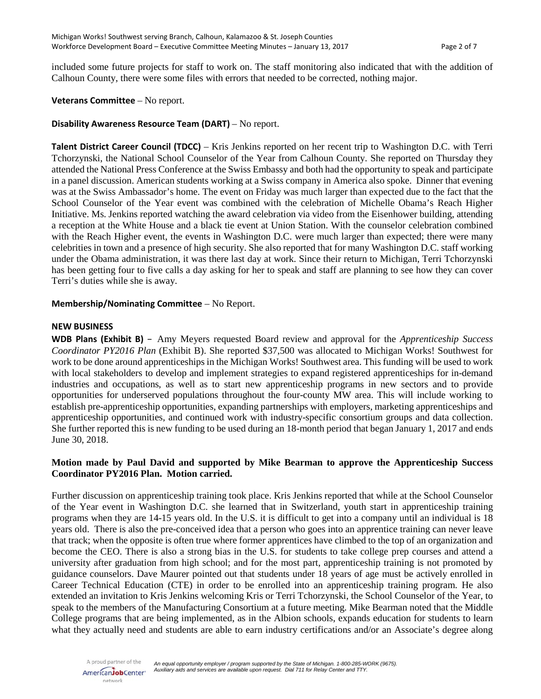included some future projects for staff to work on. The staff monitoring also indicated that with the addition of Calhoun County, there were some files with errors that needed to be corrected, nothing major.

### **Veterans Committee** – No report.

### **Disability Awareness Resource Team (DART)** – No report.

**Talent District Career Council (TDCC)** – Kris Jenkins reported on her recent trip to Washington D.C. with Terri Tchorzynski, the National School Counselor of the Year from Calhoun County. She reported on Thursday they attended the National Press Conference at the Swiss Embassy and both had the opportunity to speak and participate in a panel discussion. American students working at a Swiss company in America also spoke. Dinner that evening was at the Swiss Ambassador's home. The event on Friday was much larger than expected due to the fact that the School Counselor of the Year event was combined with the celebration of Michelle Obama's Reach Higher Initiative. Ms. Jenkins reported watching the award celebration via video from the Eisenhower building, attending a reception at the White House and a black tie event at Union Station. With the counselor celebration combined with the Reach Higher event, the events in Washington D.C. were much larger than expected; there were many celebrities in town and a presence of high security. She also reported that for many Washington D.C. staff working under the Obama administration, it was there last day at work. Since their return to Michigan, Terri Tchorzynski has been getting four to five calls a day asking for her to speak and staff are planning to see how they can cover Terri's duties while she is away.

**Membership/Nominating Committee** – No Report.

### **NEW BUSINESS**

**WDB Plans (Exhibit B)** – Amy Meyers requested Board review and approval for the *Apprenticeship Success Coordinator PY2016 Plan* (Exhibit B). She reported \$37,500 was allocated to Michigan Works! Southwest for work to be done around apprenticeships in the Michigan Works! Southwest area. This funding will be used to work with local stakeholders to develop and implement strategies to expand registered apprenticeships for in-demand industries and occupations, as well as to start new apprenticeship programs in new sectors and to provide opportunities for underserved populations throughout the four-county MW area. This will include working to establish pre-apprenticeship opportunities, expanding partnerships with employers, marketing apprenticeships and apprenticeship opportunities, and continued work with industry-specific consortium groups and data collection. She further reported this is new funding to be used during an 18-month period that began January 1, 2017 and ends June 30, 2018.

# **Motion made by Paul David and supported by Mike Bearman to approve the Apprenticeship Success Coordinator PY2016 Plan. Motion carried.**

Further discussion on apprenticeship training took place. Kris Jenkins reported that while at the School Counselor of the Year event in Washington D.C. she learned that in Switzerland, youth start in apprenticeship training programs when they are 14-15 years old. In the U.S. it is difficult to get into a company until an individual is 18 years old. There is also the pre-conceived idea that a person who goes into an apprentice training can never leave that track; when the opposite is often true where former apprentices have climbed to the top of an organization and become the CEO. There is also a strong bias in the U.S. for students to take college prep courses and attend a university after graduation from high school; and for the most part, apprenticeship training is not promoted by guidance counselors. Dave Maurer pointed out that students under 18 years of age must be actively enrolled in Career Technical Education (CTE) in order to be enrolled into an apprenticeship training program. He also extended an invitation to Kris Jenkins welcoming Kris or Terri Tchorzynski, the School Counselor of the Year, to speak to the members of the Manufacturing Consortium at a future meeting. Mike Bearman noted that the Middle College programs that are being implemented, as in the Albion schools, expands education for students to learn what they actually need and students are able to earn industry certifications and/or an Associate's degree along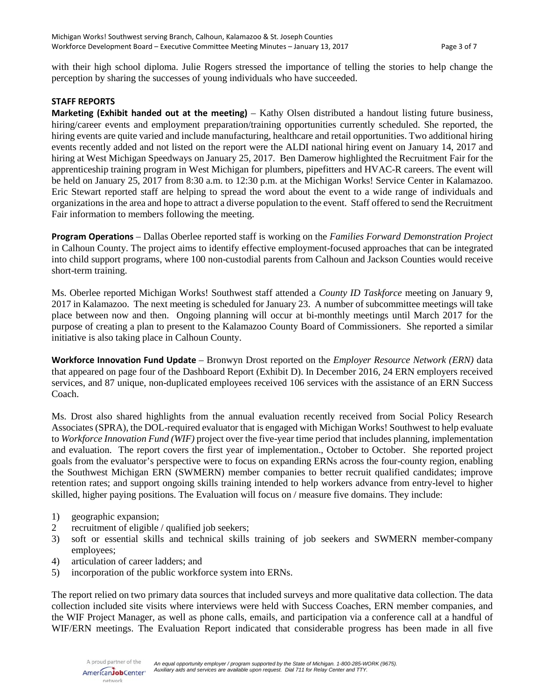with their high school diploma. Julie Rogers stressed the importance of telling the stories to help change the perception by sharing the successes of young individuals who have succeeded.

# **STAFF REPORTS**

**Marketing (Exhibit handed out at the meeting)** – Kathy Olsen distributed a handout listing future business, hiring/career events and employment preparation/training opportunities currently scheduled. She reported, the hiring events are quite varied and include manufacturing, healthcare and retail opportunities. Two additional hiring events recently added and not listed on the report were the ALDI national hiring event on January 14, 2017 and hiring at West Michigan Speedways on January 25, 2017. Ben Damerow highlighted the Recruitment Fair for the apprenticeship training program in West Michigan for plumbers, pipefitters and HVAC-R careers. The event will be held on January 25, 2017 from 8:30 a.m. to 12:30 p.m. at the Michigan Works! Service Center in Kalamazoo. Eric Stewart reported staff are helping to spread the word about the event to a wide range of individuals and organizations in the area and hope to attract a diverse population to the event. Staff offered to send the Recruitment Fair information to members following the meeting.

**Program Operations** – Dallas Oberlee reported staff is working on the *Families Forward Demonstration Project* in Calhoun County. The project aims to identify effective employment-focused approaches that can be integrated into child support programs, where 100 non-custodial parents from Calhoun and Jackson Counties would receive short-term training.

Ms. Oberlee reported Michigan Works! Southwest staff attended a *County ID Taskforce* meeting on January 9, 2017 in Kalamazoo. The next meeting is scheduled for January 23. A number of subcommittee meetings will take place between now and then. Ongoing planning will occur at bi-monthly meetings until March 2017 for the purpose of creating a plan to present to the Kalamazoo County Board of Commissioners. She reported a similar initiative is also taking place in Calhoun County.

**Workforce Innovation Fund Update** – Bronwyn Drost reported on the *Employer Resource Network (ERN)* data that appeared on page four of the Dashboard Report (Exhibit D). In December 2016, 24 ERN employers received services, and 87 unique, non-duplicated employees received 106 services with the assistance of an ERN Success Coach.

Ms. Drost also shared highlights from the annual evaluation recently received from Social Policy Research Associates (SPRA), the DOL-required evaluator that is engaged with Michigan Works! Southwest to help evaluate to *Workforce Innovation Fund (WIF)* project over the five-year time period that includes planning, implementation and evaluation. The report covers the first year of implementation., October to October. She reported project goals from the evaluator's perspective were to focus on expanding ERNs across the four-county region, enabling the Southwest Michigan ERN (SWMERN) member companies to better recruit qualified candidates; improve retention rates; and support ongoing skills training intended to help workers advance from entry-level to higher skilled, higher paying positions. The Evaluation will focus on / measure five domains. They include:

- 1) geographic expansion;
- 2 recruitment of eligible / qualified job seekers;
- 3) soft or essential skills and technical skills training of job seekers and SWMERN member-company employees;
- 4) articulation of career ladders; and
- 5) incorporation of the public workforce system into ERNs.

The report relied on two primary data sources that included surveys and more qualitative data collection. The data collection included site visits where interviews were held with Success Coaches, ERN member companies, and the WIF Project Manager, as well as phone calls, emails, and participation via a conference call at a handful of WIF/ERN meetings. The Evaluation Report indicated that considerable progress has been made in all five

A proud partner of the AmericanJobCenter\* network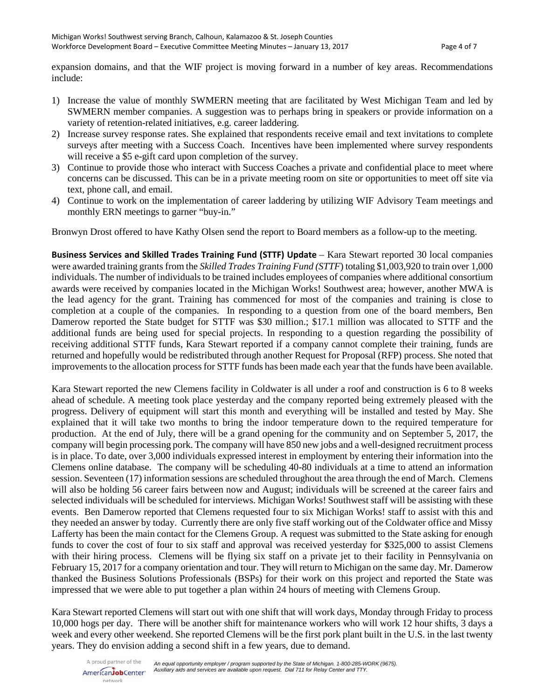expansion domains, and that the WIF project is moving forward in a number of key areas. Recommendations include:

- 1) Increase the value of monthly SWMERN meeting that are facilitated by West Michigan Team and led by SWMERN member companies. A suggestion was to perhaps bring in speakers or provide information on a variety of retention-related initiatives, e.g. career laddering.
- 2) Increase survey response rates. She explained that respondents receive email and text invitations to complete surveys after meeting with a Success Coach. Incentives have been implemented where survey respondents will receive a \$5 e-gift card upon completion of the survey.
- 3) Continue to provide those who interact with Success Coaches a private and confidential place to meet where concerns can be discussed. This can be in a private meeting room on site or opportunities to meet off site via text, phone call, and email.
- 4) Continue to work on the implementation of career laddering by utilizing WIF Advisory Team meetings and monthly ERN meetings to garner "buy-in."

Bronwyn Drost offered to have Kathy Olsen send the report to Board members as a follow-up to the meeting.

**Business Services and Skilled Trades Training Fund (STTF) Update** – Kara Stewart reported 30 local companies were awarded training grants from the *Skilled Trades Training Fund (STTF*) totaling \$1,003,920 to train over 1,000 individuals. The number of individuals to be trained includes employees of companies where additional consortium awards were received by companies located in the Michigan Works! Southwest area; however, another MWA is the lead agency for the grant. Training has commenced for most of the companies and training is close to completion at a couple of the companies. In responding to a question from one of the board members, Ben Damerow reported the State budget for STTF was \$30 million.; \$17.1 million was allocated to STTF and the additional funds are being used for special projects. In responding to a question regarding the possibility of receiving additional STTF funds, Kara Stewart reported if a company cannot complete their training, funds are returned and hopefully would be redistributed through another Request for Proposal (RFP) process. She noted that improvements to the allocation process for STTF funds has been made each year that the funds have been available.

Kara Stewart reported the new Clemens facility in Coldwater is all under a roof and construction is 6 to 8 weeks ahead of schedule. A meeting took place yesterday and the company reported being extremely pleased with the progress. Delivery of equipment will start this month and everything will be installed and tested by May. She explained that it will take two months to bring the indoor temperature down to the required temperature for production. At the end of July, there will be a grand opening for the community and on September 5, 2017, the company will begin processing pork. The company will have 850 new jobs and a well-designed recruitment process is in place. To date, over 3,000 individuals expressed interest in employment by entering their information into the Clemens online database. The company will be scheduling 40-80 individuals at a time to attend an information session. Seventeen (17) information sessions are scheduled throughout the area through the end of March. Clemens will also be holding 56 career fairs between now and August; individuals will be screened at the career fairs and selected individuals will be scheduled for interviews. Michigan Works! Southwest staff will be assisting with these events. Ben Damerow reported that Clemens requested four to six Michigan Works! staff to assist with this and they needed an answer by today. Currently there are only five staff working out of the Coldwater office and Missy Lafferty has been the main contact for the Clemens Group. A request was submitted to the State asking for enough funds to cover the cost of four to six staff and approval was received yesterday for \$325,000 to assist Clemens with their hiring process. Clemens will be flying six staff on a private jet to their facility in Pennsylvania on February 15, 2017 for a company orientation and tour. They will return to Michigan on the same day. Mr. Damerow thanked the Business Solutions Professionals (BSPs) for their work on this project and reported the State was impressed that we were able to put together a plan within 24 hours of meeting with Clemens Group.

Kara Stewart reported Clemens will start out with one shift that will work days, Monday through Friday to process 10,000 hogs per day. There will be another shift for maintenance workers who will work 12 hour shifts, 3 days a week and every other weekend. She reported Clemens will be the first pork plant built in the U.S. in the last twenty years. They do envision adding a second shift in a few years, due to demand.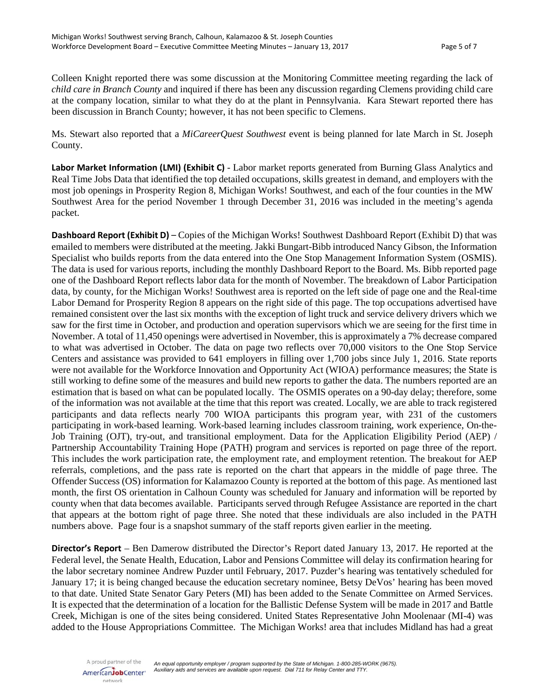Colleen Knight reported there was some discussion at the Monitoring Committee meeting regarding the lack of *child care in Branch County* and inquired if there has been any discussion regarding Clemens providing child care at the company location, similar to what they do at the plant in Pennsylvania. Kara Stewart reported there has been discussion in Branch County; however, it has not been specific to Clemens.

Ms. Stewart also reported that a *MiCareerQuest Southwest* event is being planned for late March in St. Joseph County.

**Labor Market Information (LMI) (Exhibit C)** - Labor market reports generated from Burning Glass Analytics and Real Time Jobs Data that identified the top detailed occupations, skills greatest in demand, and employers with the most job openings in Prosperity Region 8, Michigan Works! Southwest, and each of the four counties in the MW Southwest Area for the period November 1 through December 31, 2016 was included in the meeting's agenda packet.

**Dashboard Report (Exhibit D)** – Copies of the Michigan Works! Southwest Dashboard Report (Exhibit D) that was emailed to members were distributed at the meeting. Jakki Bungart-Bibb introduced Nancy Gibson, the Information Specialist who builds reports from the data entered into the One Stop Management Information System (OSMIS). The data is used for various reports, including the monthly Dashboard Report to the Board. Ms. Bibb reported page one of the Dashboard Report reflects labor data for the month of November. The breakdown of Labor Participation data, by county, for the Michigan Works! Southwest area is reported on the left side of page one and the Real-time Labor Demand for Prosperity Region 8 appears on the right side of this page. The top occupations advertised have remained consistent over the last six months with the exception of light truck and service delivery drivers which we saw for the first time in October, and production and operation supervisors which we are seeing for the first time in November. A total of 11,450 openings were advertised in November, this is approximately a 7% decrease compared to what was advertised in October. The data on page two reflects over 70,000 visitors to the One Stop Service Centers and assistance was provided to 641 employers in filling over 1,700 jobs since July 1, 2016. State reports were not available for the Workforce Innovation and Opportunity Act (WIOA) performance measures; the State is still working to define some of the measures and build new reports to gather the data. The numbers reported are an estimation that is based on what can be populated locally. The OSMIS operates on a 90-day delay; therefore, some of the information was not available at the time that this report was created. Locally, we are able to track registered participants and data reflects nearly 700 WIOA participants this program year, with 231 of the customers participating in work-based learning. Work-based learning includes classroom training, work experience, On-the-Job Training (OJT), try-out, and transitional employment. Data for the Application Eligibility Period (AEP) / Partnership Accountability Training Hope (PATH) program and services is reported on page three of the report. This includes the work participation rate, the employment rate, and employment retention. The breakout for AEP referrals, completions, and the pass rate is reported on the chart that appears in the middle of page three. The Offender Success (OS) information for Kalamazoo County is reported at the bottom of this page. As mentioned last month, the first OS orientation in Calhoun County was scheduled for January and information will be reported by county when that data becomes available. Participants served through Refugee Assistance are reported in the chart that appears at the bottom right of page three. She noted that these individuals are also included in the PATH numbers above. Page four is a snapshot summary of the staff reports given earlier in the meeting.

**Director's Report** – Ben Damerow distributed the Director's Report dated January 13, 2017. He reported at the Federal level, the Senate Health, Education, Labor and Pensions Committee will delay its confirmation hearing for the labor secretary nominee Andrew Puzder until February, 2017. Puzder's hearing was tentatively scheduled for January 17; it is being changed because the education secretary nominee, Betsy DeVos' hearing has been moved to that date. United State Senator Gary Peters (MI) has been added to the Senate Committee on Armed Services. It is expected that the determination of a location for the Ballistic Defense System will be made in 2017 and Battle Creek, Michigan is one of the sites being considered. United States Representative John Moolenaar (MI-4) was added to the House Appropriations Committee. The Michigan Works! area that includes Midland has had a great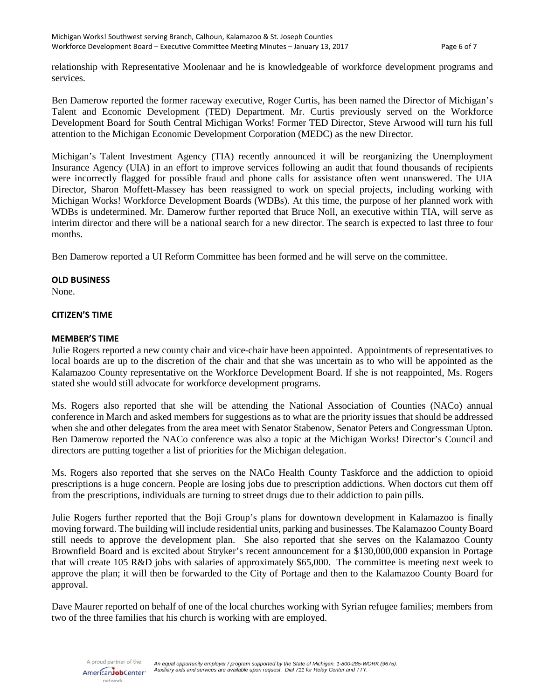relationship with Representative Moolenaar and he is knowledgeable of workforce development programs and services.

Ben Damerow reported the former raceway executive, Roger Curtis, has been named the Director of Michigan's Talent and Economic Development (TED) Department. Mr. Curtis previously served on the Workforce Development Board for South Central Michigan Works! Former TED Director, Steve Arwood will turn his full attention to the Michigan Economic Development Corporation (MEDC) as the new Director.

Michigan's Talent Investment Agency (TIA) recently announced it will be reorganizing the Unemployment Insurance Agency (UIA) in an effort to improve services following an audit that found thousands of recipients were incorrectly flagged for possible fraud and phone calls for assistance often went unanswered. The UIA Director, Sharon Moffett-Massey has been reassigned to work on special projects, including working with Michigan Works! Workforce Development Boards (WDBs). At this time, the purpose of her planned work with WDBs is undetermined. Mr. Damerow further reported that Bruce Noll, an executive within TIA, will serve as interim director and there will be a national search for a new director. The search is expected to last three to four months.

Ben Damerow reported a UI Reform Committee has been formed and he will serve on the committee.

### **OLD BUSINESS**

None.

### **CITIZEN'S TIME**

### **MEMBER'S TIME**

Julie Rogers reported a new county chair and vice-chair have been appointed. Appointments of representatives to local boards are up to the discretion of the chair and that she was uncertain as to who will be appointed as the Kalamazoo County representative on the Workforce Development Board. If she is not reappointed, Ms. Rogers stated she would still advocate for workforce development programs.

Ms. Rogers also reported that she will be attending the National Association of Counties (NACo) annual conference in March and asked members for suggestions as to what are the priority issues that should be addressed when she and other delegates from the area meet with Senator Stabenow, Senator Peters and Congressman Upton. Ben Damerow reported the NACo conference was also a topic at the Michigan Works! Director's Council and directors are putting together a list of priorities for the Michigan delegation.

Ms. Rogers also reported that she serves on the NACo Health County Taskforce and the addiction to opioid prescriptions is a huge concern. People are losing jobs due to prescription addictions. When doctors cut them off from the prescriptions, individuals are turning to street drugs due to their addiction to pain pills.

Julie Rogers further reported that the Boji Group's plans for downtown development in Kalamazoo is finally moving forward. The building will include residential units, parking and businesses. The Kalamazoo County Board still needs to approve the development plan. She also reported that she serves on the Kalamazoo County Brownfield Board and is excited about Stryker's recent announcement for a \$130,000,000 expansion in Portage that will create 105 R&D jobs with salaries of approximately \$65,000. The committee is meeting next week to approve the plan; it will then be forwarded to the City of Portage and then to the Kalamazoo County Board for approval.

Dave Maurer reported on behalf of one of the local churches working with Syrian refugee families; members from two of the three families that his church is working with are employed.